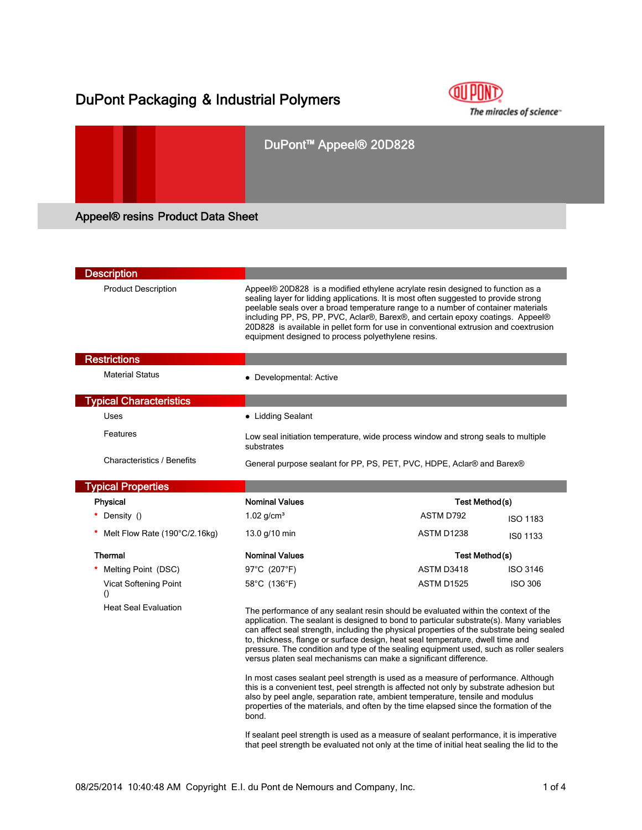# DuPont Packaging & Industrial Polymers



## DuPont™ Appeel® 20D828

## Appeel® resins Product Data Sheet

| <b>Description</b>                        |                                                                                                                                                                                                                                                                                                                                                                                                                                                                                                                            |                                                                                                                                                                                                                                                                                                                                                                                                                                      |                       |  |
|-------------------------------------------|----------------------------------------------------------------------------------------------------------------------------------------------------------------------------------------------------------------------------------------------------------------------------------------------------------------------------------------------------------------------------------------------------------------------------------------------------------------------------------------------------------------------------|--------------------------------------------------------------------------------------------------------------------------------------------------------------------------------------------------------------------------------------------------------------------------------------------------------------------------------------------------------------------------------------------------------------------------------------|-----------------------|--|
| <b>Product Description</b>                | equipment designed to process polyethylene resins.                                                                                                                                                                                                                                                                                                                                                                                                                                                                         | Appeel® 20D828 is a modified ethylene acrylate resin designed to function as a<br>sealing layer for lidding applications. It is most often suggested to provide strong<br>peelable seals over a broad temperature range to a number of container materials<br>including PP, PS, PP, PVC, Aclar®, Barex®, and certain epoxy coatings. Appeel®<br>20D828 is available in pellet form for use in conventional extrusion and coextrusion |                       |  |
| <b>Restrictions</b>                       |                                                                                                                                                                                                                                                                                                                                                                                                                                                                                                                            |                                                                                                                                                                                                                                                                                                                                                                                                                                      |                       |  |
| <b>Material Status</b>                    | • Developmental: Active                                                                                                                                                                                                                                                                                                                                                                                                                                                                                                    |                                                                                                                                                                                                                                                                                                                                                                                                                                      |                       |  |
| <b>Typical Characteristics</b>            |                                                                                                                                                                                                                                                                                                                                                                                                                                                                                                                            |                                                                                                                                                                                                                                                                                                                                                                                                                                      |                       |  |
| Uses                                      | • Lidding Sealant                                                                                                                                                                                                                                                                                                                                                                                                                                                                                                          |                                                                                                                                                                                                                                                                                                                                                                                                                                      |                       |  |
| Features                                  | Low seal initiation temperature, wide process window and strong seals to multiple<br>substrates                                                                                                                                                                                                                                                                                                                                                                                                                            |                                                                                                                                                                                                                                                                                                                                                                                                                                      |                       |  |
| <b>Characteristics / Benefits</b>         |                                                                                                                                                                                                                                                                                                                                                                                                                                                                                                                            | General purpose sealant for PP, PS, PET, PVC, HDPE, Aclar® and Barex®                                                                                                                                                                                                                                                                                                                                                                |                       |  |
| <b>Typical Properties</b>                 |                                                                                                                                                                                                                                                                                                                                                                                                                                                                                                                            |                                                                                                                                                                                                                                                                                                                                                                                                                                      |                       |  |
| Physical                                  | <b>Nominal Values</b>                                                                                                                                                                                                                                                                                                                                                                                                                                                                                                      |                                                                                                                                                                                                                                                                                                                                                                                                                                      | <b>Test Method(s)</b> |  |
| Density ()                                | $1.02$ g/cm <sup>3</sup>                                                                                                                                                                                                                                                                                                                                                                                                                                                                                                   | ASTM D792                                                                                                                                                                                                                                                                                                                                                                                                                            | <b>ISO 1183</b>       |  |
| Melt Flow Rate (190°C/2.16kg)             | 13.0 g/10 min                                                                                                                                                                                                                                                                                                                                                                                                                                                                                                              | ASTM D1238                                                                                                                                                                                                                                                                                                                                                                                                                           | ISO 1133              |  |
| <b>Thermal</b>                            | <b>Nominal Values</b>                                                                                                                                                                                                                                                                                                                                                                                                                                                                                                      |                                                                                                                                                                                                                                                                                                                                                                                                                                      | Test Method(s)        |  |
| Melting Point (DSC)                       | 97°C (207°F)                                                                                                                                                                                                                                                                                                                                                                                                                                                                                                               | ASTM D3418                                                                                                                                                                                                                                                                                                                                                                                                                           | <b>ISO 3146</b>       |  |
| Vicat Softening Point<br>$\left( \right)$ | 58°C (136°F)                                                                                                                                                                                                                                                                                                                                                                                                                                                                                                               | <b>ASTM D1525</b>                                                                                                                                                                                                                                                                                                                                                                                                                    | <b>ISO 306</b>        |  |
| <b>Heat Seal Evaluation</b>               | The performance of any sealant resin should be evaluated within the context of the<br>application. The sealant is designed to bond to particular substrate(s). Many variables<br>can affect seal strength, including the physical properties of the substrate being sealed<br>to, thickness, flange or surface design, heat seal temperature, dwell time and<br>pressure. The condition and type of the sealing equipment used, such as roller sealers<br>versus platen seal mechanisms can make a significant difference. |                                                                                                                                                                                                                                                                                                                                                                                                                                      |                       |  |
|                                           | In most cases sealant peel strength is used as a measure of performance. Although<br>this is a convenient test, peel strength is affected not only by substrate adhesion but<br>also by peel angle, separation rate, ambient temperature, tensile and modulus<br>properties of the materials, and often by the time elapsed since the formation of the<br>bond.                                                                                                                                                            |                                                                                                                                                                                                                                                                                                                                                                                                                                      |                       |  |
|                                           | that peel strength be evaluated not only at the time of initial heat sealing the lid to the                                                                                                                                                                                                                                                                                                                                                                                                                                | If sealant peel strength is used as a measure of sealant performance, it is imperative                                                                                                                                                                                                                                                                                                                                               |                       |  |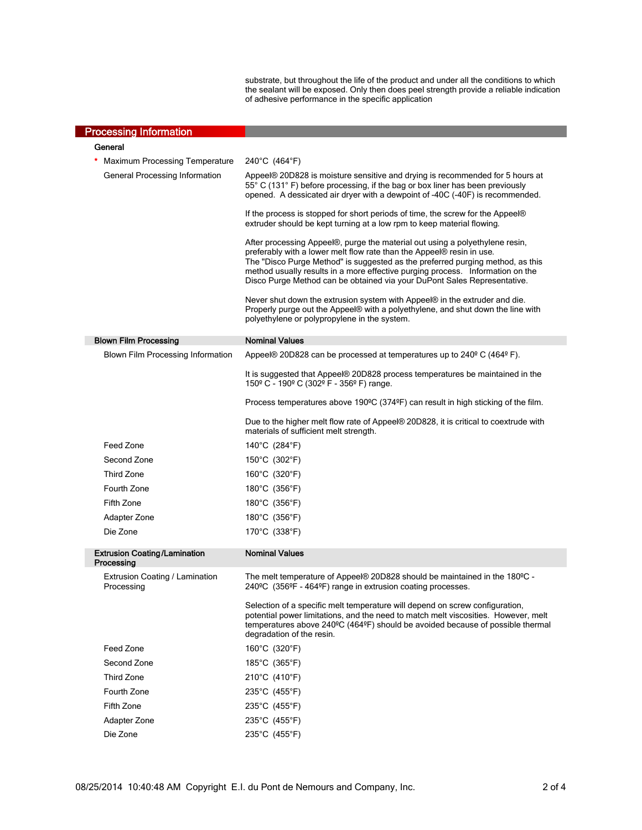substrate, but throughout the life of the product and under all the conditions to which the sealant will be exposed. Only then does peel strength provide a reliable indication of adhesive performance in the specific application

| <b>Processing Information</b>                |                                                                                                                                                                                                                                                                                                                                                                                                       |  |
|----------------------------------------------|-------------------------------------------------------------------------------------------------------------------------------------------------------------------------------------------------------------------------------------------------------------------------------------------------------------------------------------------------------------------------------------------------------|--|
| General                                      |                                                                                                                                                                                                                                                                                                                                                                                                       |  |
| *<br>Maximum Processing Temperature          | 240°C (464°F)                                                                                                                                                                                                                                                                                                                                                                                         |  |
| General Processing Information               | Appeel® 20D828 is moisture sensitive and drying is recommended for 5 hours at<br>55° C (131° F) before processing, if the bag or box liner has been previously<br>opened. A dessicated air dryer with a dewpoint of -40C (-40F) is recommended.                                                                                                                                                       |  |
|                                              | If the process is stopped for short periods of time, the screw for the Appeel®<br>extruder should be kept turning at a low rpm to keep material flowing.                                                                                                                                                                                                                                              |  |
|                                              | After processing Appeel®, purge the material out using a polyethylene resin,<br>preferably with a lower melt flow rate than the Appeel® resin in use.<br>The "Disco Purge Method" is suggested as the preferred purging method, as this<br>method usually results in a more effective purging process. Information on the<br>Disco Purge Method can be obtained via your DuPont Sales Representative. |  |
|                                              | Never shut down the extrusion system with Appeel® in the extruder and die.<br>Properly purge out the Appeel® with a polyethylene, and shut down the line with<br>polyethylene or polypropylene in the system.                                                                                                                                                                                         |  |
| <b>Blown Film Processing</b>                 | <b>Nominal Values</b>                                                                                                                                                                                                                                                                                                                                                                                 |  |
| Blown Film Processing Information            | Appeel® 20D828 can be processed at temperatures up to $240^{\circ}$ C (464 $^{\circ}$ F).                                                                                                                                                                                                                                                                                                             |  |
|                                              | It is suggested that Appeel® 20D828 process temperatures be maintained in the<br>150° C - 190° C (302° F - 356° F) range.                                                                                                                                                                                                                                                                             |  |
|                                              | Process temperatures above 190 <sup>o</sup> C (374 <sup>o</sup> F) can result in high sticking of the film.                                                                                                                                                                                                                                                                                           |  |
|                                              | Due to the higher melt flow rate of Appeel® 20D828, it is critical to coextrude with<br>materials of sufficient melt strength.                                                                                                                                                                                                                                                                        |  |
| Feed Zone                                    | 140°C (284°F)                                                                                                                                                                                                                                                                                                                                                                                         |  |
| Second Zone                                  | 150°C (302°F)                                                                                                                                                                                                                                                                                                                                                                                         |  |
| <b>Third Zone</b>                            | 160°C (320°F)                                                                                                                                                                                                                                                                                                                                                                                         |  |
| Fourth Zone                                  | 180 $^{\circ}$ C (356 $^{\circ}$ F)                                                                                                                                                                                                                                                                                                                                                                   |  |
| Fifth Zone                                   | 180°C (356°F)                                                                                                                                                                                                                                                                                                                                                                                         |  |
| Adapter Zone                                 | 180°C (356°F)                                                                                                                                                                                                                                                                                                                                                                                         |  |
| Die Zone                                     | 170°C (338°F)                                                                                                                                                                                                                                                                                                                                                                                         |  |
| <b>Extrusion Coating/Lamination</b>          | <b>Nominal Values</b>                                                                                                                                                                                                                                                                                                                                                                                 |  |
| Processing                                   |                                                                                                                                                                                                                                                                                                                                                                                                       |  |
| Extrusion Coating / Lamination<br>Processing | The melt temperature of Appeel® 20D828 should be maintained in the 180 <sup>o</sup> C -<br>240°C (356°F - 464°F) range in extrusion coating processes.                                                                                                                                                                                                                                                |  |
|                                              | Selection of a specific melt temperature will depend on screw configuration,<br>potential power limitations, and the need to match melt viscosities. However, melt<br>temperatures above 240°C (464°F) should be avoided because of possible thermal<br>degradation of the resin.                                                                                                                     |  |
| Feed Zone                                    | 160°C (320°F)                                                                                                                                                                                                                                                                                                                                                                                         |  |
| Second Zone                                  | 185°C (365°F)                                                                                                                                                                                                                                                                                                                                                                                         |  |
| <b>Third Zone</b>                            | 210°C (410°F)                                                                                                                                                                                                                                                                                                                                                                                         |  |
| Fourth Zone                                  | 235°C (455°F)                                                                                                                                                                                                                                                                                                                                                                                         |  |
| Fifth Zone                                   | 235°C (455°F)                                                                                                                                                                                                                                                                                                                                                                                         |  |
| Adapter Zone                                 | 235°C (455°F)                                                                                                                                                                                                                                                                                                                                                                                         |  |
| Die Zone                                     | 235°C (455°F)                                                                                                                                                                                                                                                                                                                                                                                         |  |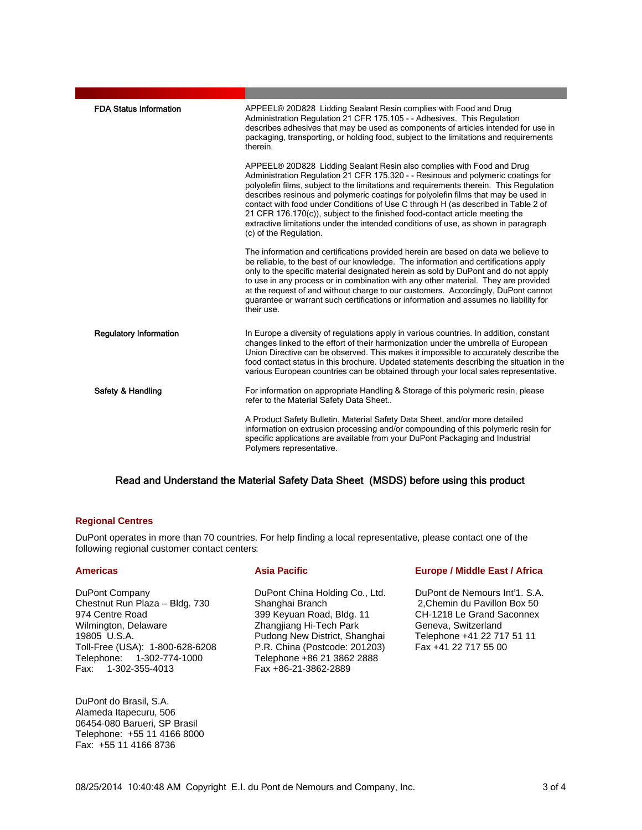| <b>FDA Status Information</b> | APPEEL® 20D828 Lidding Sealant Resin complies with Food and Drug<br>Administration Regulation 21 CFR 175.105 - - Adhesives. This Regulation<br>describes adhesives that may be used as components of articles intended for use in<br>packaging, transporting, or holding food, subject to the limitations and requirements<br>therein.                                                                                                                                                                                                                                                                                         |
|-------------------------------|--------------------------------------------------------------------------------------------------------------------------------------------------------------------------------------------------------------------------------------------------------------------------------------------------------------------------------------------------------------------------------------------------------------------------------------------------------------------------------------------------------------------------------------------------------------------------------------------------------------------------------|
|                               | APPEEL® 20D828 Lidding Sealant Resin also complies with Food and Drug<br>Administration Regulation 21 CFR 175.320 - - Resinous and polymeric coatings for<br>polyolefin films, subject to the limitations and requirements therein. This Requlation<br>describes resinous and polymeric coatings for polyolefin films that may be used in<br>contact with food under Conditions of Use C through H (as described in Table 2 of<br>21 CFR 176.170(c)), subject to the finished food-contact article meeting the<br>extractive limitations under the intended conditions of use, as shown in paragraph<br>(c) of the Regulation. |
|                               | The information and certifications provided herein are based on data we believe to<br>be reliable, to the best of our knowledge. The information and certifications apply<br>only to the specific material designated herein as sold by DuPont and do not apply<br>to use in any process or in combination with any other material. They are provided<br>at the request of and without charge to our customers. Accordingly, DuPont cannot<br>guarantee or warrant such certifications or information and assumes no liability for<br>their use.                                                                               |
| <b>Regulatory Information</b> | In Europe a diversity of regulations apply in various countries. In addition, constant<br>changes linked to the effort of their harmonization under the umbrella of European<br>Union Directive can be observed. This makes it impossible to accurately describe the<br>food contact status in this brochure. Updated statements describing the situation in the<br>various European countries can be obtained through your local sales representative.                                                                                                                                                                        |
| Safety & Handling             | For information on appropriate Handling & Storage of this polymeric resin, please<br>refer to the Material Safety Data Sheet                                                                                                                                                                                                                                                                                                                                                                                                                                                                                                   |
|                               | A Product Safety Bulletin, Material Safety Data Sheet, and/or more detailed<br>information on extrusion processing and/or compounding of this polymeric resin for<br>specific applications are available from your DuPont Packaging and Industrial<br>Polymers representative.                                                                                                                                                                                                                                                                                                                                                 |

### Read and Understand the Material Safety Data Sheet (MSDS) before using this product

### **Regional Centres**

DuPont operates in more than 70 countries. For help finding a local representative, please contact one of the following regional customer contact centers:

DuPont Company Chestnut Run Plaza – Bldg. 730 974 Centre Road Wilmington, Delaware 19805 U.S.A. Toll-Free (USA): 1-800-628-6208 Telephone: 1-302-774-1000 Fax: 1-302-355-4013

DuPont do Brasil, S.A. Alameda Itapecuru, 506 06454-080 Barueri, SP Brasil Telephone: +55 11 4166 8000 Fax: +55 11 4166 8736

DuPont China Holding Co., Ltd. Shanghai Branch 399 Keyuan Road, Bldg. 11 Zhangjiang Hi-Tech Park Pudong New District, Shanghai P.R. China (Postcode: 201203) Telephone +86 21 3862 2888 Fax +86-21-3862-2889

#### **Americas Community Asia Pacific Community Europe / Middle East / Africa**

DuPont de Nemours Int'1. S.A. 2,Chemin du Pavillon Box 50 CH-1218 Le Grand Saconnex Geneva, Switzerland Telephone +41 22 717 51 11 Fax +41 22 717 55 00